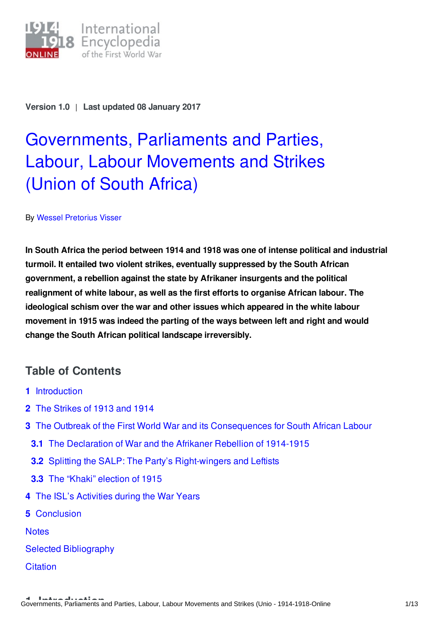

**Version 1.0** | **Last updated 08 January 2017**

# [Governments,](http://encyclopedia.1914-1918-online.net/article/governments_parliaments_and_parties_labour_labour_movements_and_strikes_union_of_south_africa) Parliaments and Parties, Labour, Labour Movements and Strikes (Union of South Africa)

## By Wessel [Pretorius](http://encyclopedia.1914-1918-online.net/contributors/Wessel_Pretorius_Visser) Visser

**In South Africa the period between 1914 and 1918 was one of intense political and industrial turmoil. It entailed two violent strikes, eventually suppressed by the South African government, a rebellion against the state by Afrikaner insurgents and the political realignment of white labour, as well as the first efforts to organise African labour. The ideological schism over the war and other issues which appeared in the white labour movement in 1915 was indeed the parting of the ways between left and right and would change the South African political landscape irreversibly.**

# **Table of Contents**

- **1** [Introduction](#page-1-0)
- **2** The [Strikes](#page-1-1) of 1913 and 1914
- **3** The Outbreak of the First World War and its [Consequences](#page-3-0) for South African Labour
	- **3.1** The [Declaration](#page-3-1) of War and the Afrikaner Rebellion of 1914-1915
	- **3.2** Splitting the SALP: The Party's [Right-wingers](#page-4-0) and Leftists
	- **3.3** The "Khaki" [election](#page-6-0) of 1915
- **4** The ISL's [Activities](#page-6-1) during the War Years
- **5** [Conclusion](#page-7-0)

**[Notes](#page-8-0)** 

Selected [Bibliography](#page-10-0)

**[Citation](#page-12-0)**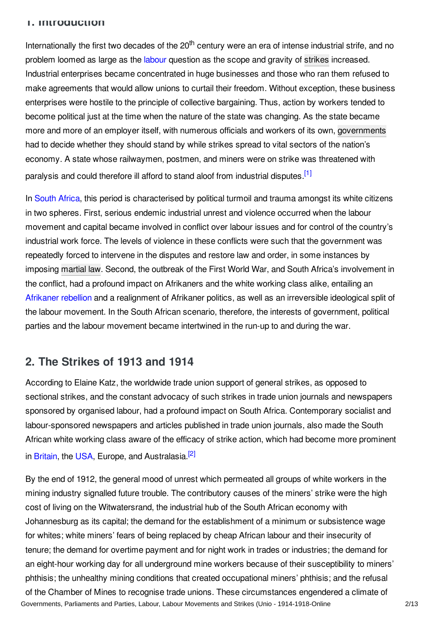## <span id="page-1-0"></span>**1. Introduction**

Internationally the first two decades of the 20<sup>th</sup> century were an era of intense industrial strife, and no problem loomed as large as the [labour](http://encyclopedia.1914-1918-online.net/article/labor) question as the scope and gravity of [strikes](http://encyclopedia.1914-1918-online.net/article/labour_movements_trade_unions_and_strikes) increased. Industrial enterprises became concentrated in huge businesses and those who ran them refused to make agreements that would allow unions to curtail their freedom. Without exception, these business enterprises were hostile to the principle of collective bargaining. Thus, action by workers tended to become political just at the time when the nature of the state was changing. As the state became more and more of an employer itself, with numerous officials and workers of its own, [governments](http://encyclopedia.1914-1918-online.net/article/governments_parliaments_and_parties) had to decide whether they should stand by while strikes spread to vital sectors of the nation's economy. A state whose railwaymen, postmen, and miners were on strike was threatened with paralysis and could therefore ill afford to stand aloof from industrial disputes.<sup>[\[1\]](#page-8-1)</sup>

<span id="page-1-2"></span>In [South](http://encyclopedia.1914-1918-online.net/article/union_of_south_africa) Africa, this period is characterised by political turmoil and trauma amongst its white citizens in two spheres. First, serious endemic industrial unrest and violence occurred when the labour movement and capital became involved in conflict over labour issues and for control of the country's industrial work force. The levels of violence in these conflicts were such that the government was repeatedly forced to intervene in the disputes and restore law and order, in some instances by imposing [martial](http://encyclopedia.1914-1918-online.net/article/martial_law) law. Second, the outbreak of the First World War, and South Africa's involvement in the conflict, had a profound impact on Afrikaners and the white working class alike, entailing an [Afrikaner](http://encyclopedia.1914-1918-online.net/article/afrikaner_boer_rebellion_union_of_south_africa) rebellion and a realignment of Afrikaner politics, as well as an irreversible ideological split of the labour movement. In the South African scenario, therefore, the interests of government, political parties and the labour movement became intertwined in the run-up to and during the war.

# <span id="page-1-1"></span>**2. The Strikes of 1913 and 1914**

According to Elaine Katz, the worldwide trade union support of general strikes, as opposed to sectional strikes, and the constant advocacy of such strikes in trade union journals and newspapers sponsored by organised labour, had a profound impact on South Africa. Contemporary socialist and labour-sponsored newspapers and articles published in trade union journals, also made the South African white working class aware of the efficacy of strike action, which had become more prominent in [Britain](http://encyclopedia.1914-1918-online.net/article/great_britain), the [USA](http://encyclopedia.1914-1918-online.net/article/united_states_of_america), Europe, and Australasia.<sup>[\[2\]](#page-8-2)</sup>

<span id="page-1-3"></span>By the end of 1912, the general mood of unrest which permeated all groups of white workers in the mining industry signalled future trouble. The contributory causes of the miners' strike were the high cost of living on the Witwatersrand, the industrial hub of the South African economy with Johannesburg as its capital; the demand for the establishment of a minimum or subsistence wage for whites; white miners' fears of being replaced by cheap African labour and their insecurity of tenure; the demand for overtime payment and for night work in trades or industries; the demand for an eight-hour working day for all underground mine workers because of their susceptibility to miners' phthisis; the unhealthy mining conditions that created occupational miners' phthisis; and the refusal of the Chamber of Mines to recognise trade unions. These circumstances engendered a climate of Governments, Parliaments and Parties, Labour, Labour Movements and Strikes (Unio - 1914-1918-Online 2/13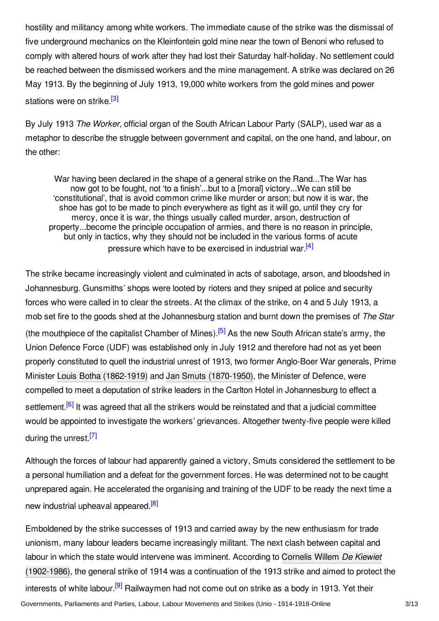hostility and militancy among white workers. The immediate cause of the strike was the dismissal of five underground mechanics on the Kleinfontein gold mine near the town of Benoni who refused to comply with altered hours of work after they had lost their Saturday half-holiday. No settlement could be reached between the dismissed workers and the mine management. A strike was declared on 26 May 1913. By the beginning of July 1913, 19,000 white workers from the gold mines and power stations were on strike <sup>[\[3\]](#page-8-3)</sup>

<span id="page-2-0"></span>By July 1913 *The Worker*, official organ of the South African Labour Party (SALP), used war as a metaphor to describe the struggle between government and capital, on the one hand, and labour, on the other:

<span id="page-2-1"></span>War having been declared in the shape of a general strike on the Rand...The War has now got to be fought, not 'to a finish'...but to a [moral] victory...We can still be 'constitutional', that is avoid common crime like murder or arson; but now it is war, the shoe has got to be made to pinch everywhere as tight as it will go, until they cry for mercy, once it is war, the things usually called murder, arson, destruction of property...become the principle occupation of armies, and there is no reason in principle, but only in tactics, why they should not be included in the various forms of acute pressure which have to be exercised in industrial war.<sup>[\[4\]](#page-8-4)</sup>

<span id="page-2-2"></span>The strike became increasingly violent and culminated in acts of sabotage, arson, and bloodshed in Johannesburg. Gunsmiths' shops were looted by rioters and they sniped at police and security forces who were called in to clear the streets. At the climax of the strike, on 4 and 5 July 1913, a mob set fire to the goods shed at the Johannesburg station and burnt down the premises of *The Star* (the mouthpiece of the capitalist Chamber of Mines).<sup>[\[5\]](#page-8-5)</sup> As the new South African state's army, the Union Defence Force (UDF) was established only in July 1912 and therefore had not as yet been properly constituted to quell the industrial unrest of 1913, two former Anglo-Boer War generals, Prime Minister Louis Botha [\(1862-1919\)](http://encyclopedia.1914-1918-online.net/index/names/118513958) and Jan Smuts [\(1870-1950\)](http://encyclopedia.1914-1918-online.net/index/names/11879776X), the Minister of Defence, were compelled to meet a deputation of strike leaders in the Carlton Hotel in Johannesburg to effect a settlement.<sup>[\[6\]](#page-8-6)</sup> It was agreed that all the strikers would be reinstated and that a judicial committee would be appointed to investigate the workers' grievances. Altogether twenty-five people were killed during the unrest.<sup>[\[7\]](#page-8-7)</sup>

<span id="page-2-5"></span><span id="page-2-4"></span><span id="page-2-3"></span>Although the forces of labour had apparently gained a victory, Smuts considered the settlement to be a personal humiliation and a defeat for the government forces. He was determined not to be caught unprepared again. He accelerated the organising and training of the UDF to be ready the next time a new industrial upheaval appeared.<sup>[\[8\]](#page-8-8)</sup>

<span id="page-2-6"></span>Emboldened by the strike successes of 1913 and carried away by the new enthusiasm for trade unionism, many labour leaders became increasingly militant. The next clash between capital and labour in which the state would intervene was imminent. According to Cornelis Willem *De Kiewiet* [\(1902-1986\),](http://encyclopedia.1914-1918-online.net/index/names/102085595) the general strike of 1914 was a continuation of the 1913 strike and aimed to protect the interests of white labour.<sup>[\[9\]](#page-8-9)</sup> Railwaymen had not come out on strike as a body in 1913. Yet their Governments, Parliaments and Parties, Labour, Labour Movements and Strikes (Unio - 1914-1918-Online 3/13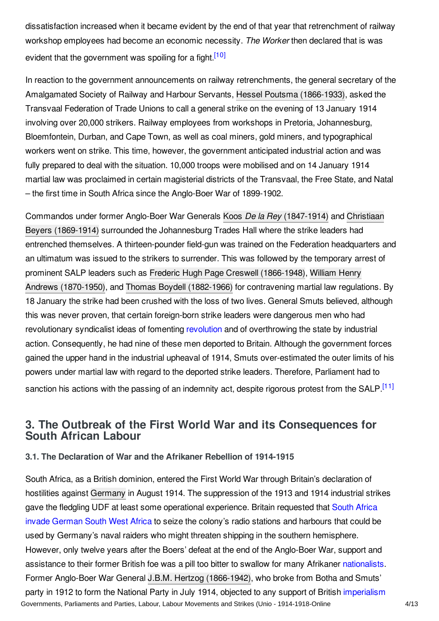dissatisfaction increased when it became evident by the end of that year that retrenchment of railway workshop employees had become an economic necessity. *The Worker* then declared that is was evident that the government was spoiling for a fight.<sup>[\[10\]](#page-8-10)</sup>

<span id="page-3-2"></span>In reaction to the government announcements on railway retrenchments, the general secretary of the Amalgamated Society of Railway and Harbour Servants, Hessel Poutsma [\(1866-1933\)](http://encyclopedia.1914-1918-online.net/index/names/1093433450), asked the Transvaal Federation of Trade Unions to call a general strike on the evening of 13 January 1914 involving over 20,000 strikers. Railway employees from workshops in Pretoria, Johannesburg, Bloemfontein, Durban, and Cape Town, as well as coal miners, gold miners, and typographical workers went on strike. This time, however, the government anticipated industrial action and was fully prepared to deal with the situation. 10,000 troops were mobilised and on 14 January 1914 martial law was proclaimed in certain magisterial districts of the Transvaal, the Free State, and Natal – the first time in South Africa since the Anglo-Boer War of 1899-1902.

Commandos under former Anglo-Boer War Generals Koos *De la Rey* [\(1847-1914\)](http://encyclopedia.1914-1918-online.net/index/names/1069968919) and Christiaan Beyers (1869-1914) surrounded the [Johannesburg](http://encyclopedia.1914-1918-online.net/index/names/1069963127) Trades Hall where the strike leaders had entrenched themselves. A thirteen-pounder field-gun was trained on the Federation headquarters and an ultimatum was issued to the strikers to surrender. This was followed by the temporary arrest of prominent SALP leaders such as Frederic Hugh Page Creswell [\(1866-1948\)](http://encyclopedia.1914-1918-online.net/index/names/1093433930), William Henry Andrews (1870-1950), and Thomas Boydell [\(1882-1966\)](http://encyclopedia.1914-1918-online.net/index/names/1093435631) for [contravening](http://encyclopedia.1914-1918-online.net/index/names/1093434392) martial law regulations. By 18 January the strike had been crushed with the loss of two lives. General Smuts believed, although this was never proven, that certain foreign-born strike leaders were dangerous men who had [revolution](http://encyclopedia.1914-1918-online.net/article/revolutions)ary syndicalist ideas of fomenting revolution and of overthrowing the state by industrial action. Consequently, he had nine of these men deported to Britain. Although the government forces gained the upper hand in the industrial upheaval of 1914, Smuts over-estimated the outer limits of his powers under martial law with regard to the deported strike leaders. Therefore, Parliament had to sanction his actions with the passing of an indemnity act, despite rigorous protest from the SALP.<sup>[\[11\]](#page-9-0)</sup>

# <span id="page-3-3"></span><span id="page-3-0"></span>**3. The Outbreak of the First World War and its Consequences for South African Labour**

## <span id="page-3-1"></span>**3.1. The Declaration of War and the Afrikaner Rebellion of 1914-1915**

South Africa, as a British dominion, entered the First World War through Britain's declaration of hostilities against [Germany](http://encyclopedia.1914-1918-online.net/article/germany) in August 1914. The suppression of the 1913 and 1914 industrial strikes gave the fledgling UDF at least some operational [experience.](http://encyclopedia.1914-1918-online.net/article/south_african_invasion_of_german_south_west_africa_union_of_south_africa) Britain requested that South Africa invade German South West Africa to seize the colony's radio stations and harbours that could be used by Germany's naval raiders who might threaten shipping in the southern hemisphere. However, only twelve years after the Boers' defeat at the end of the Anglo-Boer War, support and assistance to their former British foe was a pill too bitter to swallow for many Afrikaner [nationalists](http://encyclopedia.1914-1918-online.net/article/nationalism). Former Anglo-Boer War General J.B.M. Hertzog [\(1866-1942\)](http://encyclopedia.1914-1918-online.net/index/names/11887747X), who broke from Botha and Smuts' party in 1912 to form the National Party in July 1914, objected to any support of British [imperialism](http://encyclopedia.1914-1918-online.net/article/imperialism) Governments, Parliaments and Parties, Labour, Labour Movements and Strikes (Unio - 1914-1918-Online 4/13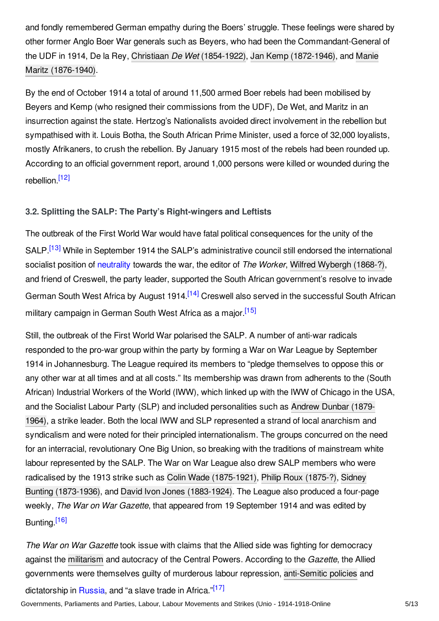and fondly remembered German empathy during the Boers' struggle. These feelings were shared by other former Anglo Boer War generals such as Beyers, who had been the Commandant-General of the UDF in 1914, De la Rey, Christiaan *De Wet* [\(1854-1922](http://encyclopedia.1914-1918-online.net/index/names/122530926)[\),](http://encyclopedia.1914-1918-online.net/index/names/1069967408) Jan Kemp [\(1872-1946\),](http://encyclopedia.1914-1918-online.net/index/names/1069967092) and Manie Maritz (1876-1940).

By the end of October 1914 a total of around 11,500 armed Boer rebels had been mobilised by Beyers and Kemp (who resigned their commissions from the UDF), De Wet, and Maritz in an insurrection against the state. Hertzog's Nationalists avoided direct involvement in the rebellion but sympathised with it. Louis Botha, the South African Prime Minister, used a force of 32,000 loyalists, mostly Afrikaners, to crush the rebellion. By January 1915 most of the rebels had been rounded up. According to an official government report, around 1,000 persons were killed or wounded during the rebellion.<sup>[\[12\]](#page-9-1)</sup>

## <span id="page-4-1"></span><span id="page-4-0"></span>**3.2. Splitting the SALP: The Party's Right-wingers and Leftists**

<span id="page-4-2"></span>The outbreak of the First World War would have fatal political consequences for the unity of the SALP.<sup>[\[13\]](#page-9-2)</sup> While in September 1914 the SALP's administrative council still endorsed the international socialist position of [neutrality](http://encyclopedia.1914-1918-online.net/article/neutrality) towards the war, the editor of *The Worker*, Wilfred [Wybergh](http://encyclopedia.1914-1918-online.net/index/names/1093436026) (1868-?), and friend of Creswell, the party leader, supported the South African government's resolve to invade German South West Africa by August 1914.<sup>[\[14\]](#page-9-3)</sup> Creswell also served in the successful South African military campaign in German South West Africa as a major [\[15\]](#page-9-4)

<span id="page-4-4"></span><span id="page-4-3"></span>Still, the outbreak of the First World War polarised the SALP. A number of anti-war radicals responded to the pro-war group within the party by forming a War on War League by September 1914 in Johannesburg. The League required its members to "pledge themselves to oppose this or any other war at all times and at all costs." Its membership was drawn from adherents to the (South African) Industrial Workers of the World (IWW), which linked up with the IWW of Chicago in the USA, and the Socialist Labour Party (SLP) and included [personalities](http://encyclopedia.1914-1918-online.net/index/names/132845083) such as Andrew Dunbar (1879- 1964), a strike leader. Both the local IWW and SLP represented a strand of local anarchism and syndicalism and were noted for their principled internationalism. The groups concurred on the need for an interracial, revolutionary One Big Union, so breaking with the traditions of mainstream white labour represented by the SALP. The War on War League also drew SALP members who were radicalised by the 1913 strike such as Colin Wade [\(1875-1921](http://encyclopedia.1914-1918-online.net/index/names/1093436220)[\),](http://encyclopedia.1914-1918-online.net/index/names/128739711) Philip Roux [\(1875-?\)](http://encyclopedia.1914-1918-online.net/index/names/1093436379), Sidney Bunting (1873-1936), and David Ivon Jones [\(1883-1924\)](http://encyclopedia.1914-1918-online.net/index/names/119542498). The League also produced a four-page weekly, *The War on War Gazette*, that appeared from 19 September 1914 and was edited by Bunting.<sup>[\[16\]](#page-9-5)</sup>

<span id="page-4-6"></span><span id="page-4-5"></span>*The War on War Gazette* took issue with claims that the Allied side was fighting for democracy against the [militarism](http://encyclopedia.1914-1918-online.net/article/militarism) and autocracy of the Central Powers. According to the *Gazette*, the Allied governments were themselves guilty of murderous labour repression, [anti-Semitic](http://encyclopedia.1914-1918-online.net/article/antisemitism) policies and dictatorship in [Russia](http://encyclopedia.1914-1918-online.net/article/russian_empire), and "a slave trade in Africa."<sup>[\[17\]](#page-9-6)</sup>

Governments, Parliaments and Parties, Labour, Labour Movements and Strikes (Unio - 1914-1918-Online 5/13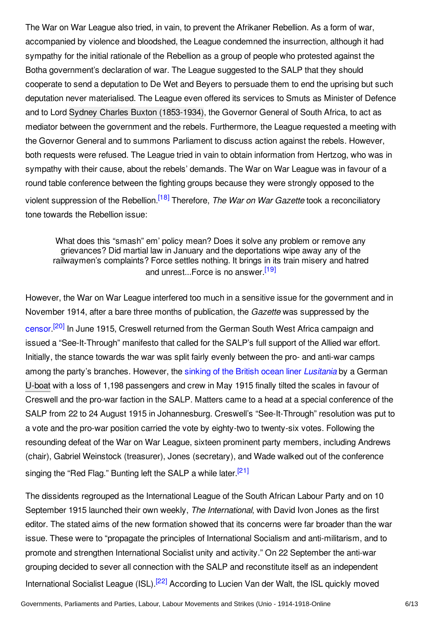The War on War League also tried, in vain, to prevent the Afrikaner Rebellion. As a form of war, accompanied by violence and bloodshed, the League condemned the insurrection, although it had sympathy for the initial rationale of the Rebellion as a group of people who protested against the Botha government's declaration of war. The League suggested to the SALP that they should cooperate to send a deputation to De Wet and Beyers to persuade them to end the uprising but such deputation never materialised. The League even offered its services to Smuts as Minister of Defence and to Lord Sydney Charles Buxton [\(1853-1934\)](http://encyclopedia.1914-1918-online.net/index/names/123386810), the Governor General of South Africa, to act as mediator between the government and the rebels. Furthermore, the League requested a meeting with the Governor General and to summons Parliament to discuss action against the rebels. However, both requests were refused. The League tried in vain to obtain information from Hertzog, who was in sympathy with their cause, about the rebels' demands. The War on War League was in favour of a round table conference between the fighting groups because they were strongly opposed to the violent suppression of the Rebellion. [\[18\]](#page-9-7) Therefore, *The War on War Gazette* took a reconciliatory tone towards the Rebellion issue:

<span id="page-5-1"></span><span id="page-5-0"></span>What does this "smash" em' policy mean? Does it solve any problem or remove any grievances? Did martial law in January and the deportations wipe away any of the railwaymen's complaints? Force settles nothing. It brings in its train misery and hatred and unrest...Force is no answer.<sup>[\[19\]](#page-9-8)</sup>

<span id="page-5-2"></span>However, the War on War League interfered too much in a sensitive issue for the government and in November 1914, after a bare three months of publication, the *Gazette* was suppressed by the [censor](http://encyclopedia.1914-1918-online.net/article/censorship).<sup>[\[20\]](#page-9-9)</sup> In June 1915, Creswell returned from the German South West Africa campaign and issued a "See-It-Through" manifesto that called for the SALP's full support of the Allied war effort. Initially, the stance towards the war was split fairly evenly between the pro- and anti-war camps among the party's branches. However, the sinking of the British ocean liner *[Lusitania](http://encyclopedia.1914-1918-online.net/article/lusitania_sinking_of)* by a German [U-boat](http://encyclopedia.1914-1918-online.net/article/submarines_and_submarine_warfare) with a loss of 1,198 passengers and crew in May 1915 finally tilted the scales in favour of Creswell and the pro-war faction in the SALP. Matters came to a head at a special conference of the SALP from 22 to 24 August 1915 in Johannesburg. Creswell's "See-It-Through" resolution was put to a vote and the pro-war position carried the vote by eighty-two to twenty-six votes. Following the resounding defeat of the War on War League, sixteen prominent party members, including Andrews (chair), Gabriel Weinstock (treasurer), Jones (secretary), and Wade walked out of the conference singing the "Red Flag." Bunting left the SALP a while later.<sup>[\[21\]](#page-9-10)</sup>

<span id="page-5-4"></span><span id="page-5-3"></span>The dissidents regrouped as the International League of the South African Labour Party and on 10 September 1915 launched their own weekly, *The International*, with David Ivon Jones as the first editor. The stated aims of the new formation showed that its concerns were far broader than the war issue. These were to "propagate the principles of International Socialism and anti-militarism, and to promote and strengthen International Socialist unity and activity." On 22 September the anti-war grouping decided to sever all connection with the SALP and reconstitute itself as an independent International Socialist League (ISL).<sup>[\[22\]](#page-10-1)</sup> According to Lucien Van der Walt, the ISL quickly moved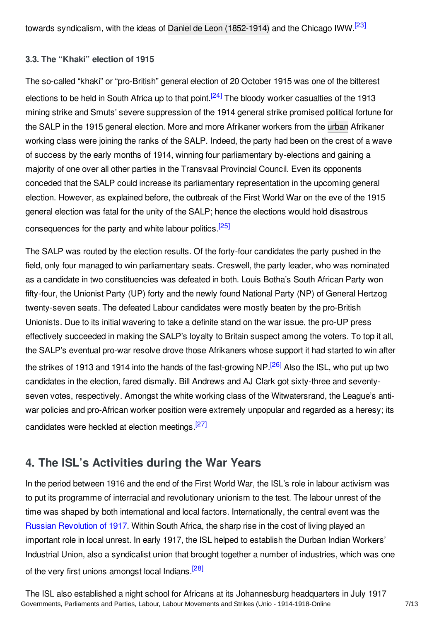## <span id="page-6-2"></span><span id="page-6-0"></span>**3.3. The "Khaki" election of 1915**

<span id="page-6-3"></span>The so-called "khaki" or "pro-British" general election of 20 October 1915 was one of the bitterest elections to be held in South Africa up to that point.<sup>[\[24\]](#page-10-3)</sup> The bloody worker casualties of the 1913 mining strike and Smuts' severe suppression of the 1914 general strike promised political fortune for the SALP in the 1915 general election. More and more Afrikaner workers from the [urban](http://encyclopedia.1914-1918-online.net/article/urban_society) Afrikaner working class were joining the ranks of the SALP. Indeed, the party had been on the crest of a wave of success by the early months of 1914, winning four parliamentary by-elections and gaining a majority of one over all other parties in the Transvaal Provincial Council. Even its opponents conceded that the SALP could increase its parliamentary representation in the upcoming general election. However, as explained before, the outbreak of the First World War on the eve of the 1915 general election was fatal for the unity of the SALP; hence the elections would hold disastrous consequences for the party and white labour politics.<sup>[\[25\]](#page-10-4)</sup>

<span id="page-6-4"></span>The SALP was routed by the election results. Of the forty-four candidates the party pushed in the field, only four managed to win parliamentary seats. Creswell, the party leader, who was nominated as a candidate in two constituencies was defeated in both. Louis Botha's South African Party won fifty-four, the Unionist Party (UP) forty and the newly found National Party (NP) of General Hertzog twenty-seven seats. The defeated Labour candidates were mostly beaten by the pro-British Unionists. Due to its initial wavering to take a definite stand on the war issue, the pro-UP press effectively succeeded in making the SALP's loyalty to Britain suspect among the voters. To top it all, the SALP's eventual pro-war resolve drove those Afrikaners whose support it had started to win after the strikes of 1913 and 1914 into the hands of the fast-growing NP.<sup>[\[26\]](#page-10-5)</sup> Also the ISL, who put up two candidates in the election, fared dismally. Bill Andrews and AJ Clark got sixty-three and seventyseven votes, respectively. Amongst the white working class of the Witwatersrand, the League's antiwar policies and pro-African worker position were extremely unpopular and regarded as a heresy; its candidates were heckled at election meetings.<sup>[\[27\]](#page-10-6)</sup>

# <span id="page-6-6"></span><span id="page-6-5"></span><span id="page-6-1"></span>**4. The ISL's Activities during the War Years**

In the period between 1916 and the end of the First World War, the ISL's role in labour activism was to put its programme of interracial and revolutionary unionism to the test. The labour unrest of the time was shaped by both international and local factors. Internationally, the central event was the Russian [Revolution](http://encyclopedia.1914-1918-online.net/article/revolutions_russian_empire) of 1917. Within South Africa, the sharp rise in the cost of living played an important role in local unrest. In early 1917, the ISL helped to establish the Durban Indian Workers' Industrial Union, also a syndicalist union that brought together a number of industries, which was one of the very first unions amongst local Indians.<sup>[\[28\]](#page-10-7)</sup>

<span id="page-6-7"></span>The ISL also established a night school for Africans at its Johannesburg headquarters in July 1917 Governments, Parliaments and Parties, Labour, Labour Movements and Strikes (Unio - 1914-1918-Online 7/13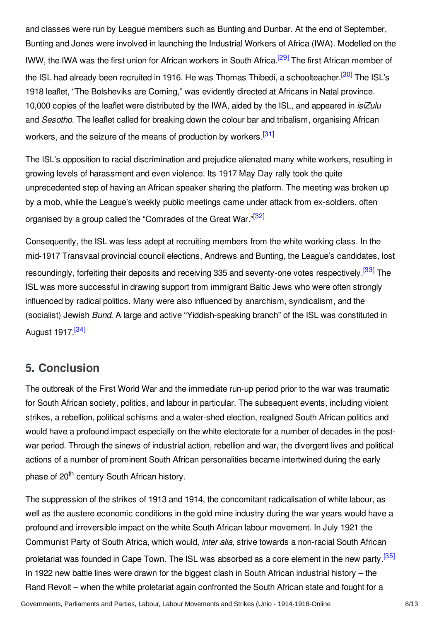<span id="page-7-2"></span><span id="page-7-1"></span>and classes were run by League members such as Bunting and Dunbar. At the end of September, Bunting and Jones were involved in launching the Industrial Workers of Africa (IWA). Modelled on the IWW, the IWA was the first union for African workers in South Africa.<sup>[\[29\]](#page-10-8)</sup> The first African member of the ISL had already been recruited in 1916. He was Thomas Thibedi, a schoolteacher.<sup>[\[30\]](#page-10-9)</sup> The ISL's 1918 leaflet, "The Bolsheviks are Coming," was evidently directed at Africans in Natal province. 10,000 copies of the leaflet were distributed by the IWA, aided by the ISL, and appeared in *isiZulu* and *Sesotho*. The leaflet called for breaking down the colour bar and tribalism, organising African workers, and the seizure of the means of production by workers.<sup>[\[31\]](#page-10-10)</sup>

<span id="page-7-3"></span>The ISL's opposition to racial discrimination and prejudice alienated many white workers, resulting in growing levels of harassment and even violence. Its 1917 May Day rally took the quite unprecedented step of having an African speaker sharing the platform. The meeting was broken up by a mob, while the League's weekly public meetings came under attack from ex-soldiers, often organised by a group called the "Comrades of the Great War."<sup>[\[32\]](#page-10-11)</sup>

<span id="page-7-5"></span><span id="page-7-4"></span>Consequently, the ISL was less adept at recruiting members from the white working class. In the mid-1917 Transvaal provincial council elections, Andrews and Bunting, the League's candidates, lost resoundingly, forfeiting their deposits and receiving 335 and seventy-one votes respectively.<sup>[\[33\]](#page-10-12)</sup> The ISL was more successful in drawing support from immigrant Baltic Jews who were often strongly influenced by radical politics. Many were also influenced by anarchism, syndicalism, and the (socialist) Jewish *Bund*. A large and active "Yiddish-speaking branch" of the ISL was constituted in August 1917.<sup>[\[34\]](#page-10-13)</sup>

# <span id="page-7-6"></span><span id="page-7-0"></span>**5. Conclusion**

The outbreak of the First World War and the immediate run-up period prior to the war was traumatic for South African society, politics, and labour in particular. The subsequent events, including violent strikes, a rebellion, political schisms and a water-shed election, realigned South African politics and would have a profound impact especially on the white electorate for a number of decades in the postwar period. Through the sinews of industrial action, rebellion and war, the divergent lives and political actions of a number of prominent South African personalities became intertwined during the early phase of 20<sup>th</sup> century South African history.

<span id="page-7-7"></span>The suppression of the strikes of 1913 and 1914, the concomitant radicalisation of white labour, as well as the austere economic conditions in the gold mine industry during the war years would have a profound and irreversible impact on the white South African labour movement. In July 1921 the Communist Party of South Africa, which would, *inter alia*, strive towards a non-racial South African proletariat was founded in Cape Town. The ISL was absorbed as a core element in the new party.<sup>[\[35\]](#page-10-14)</sup> In 1922 new battle lines were drawn for the biggest clash in South African industrial history – the Rand Revolt – when the white proletariat again confronted the South African state and fought for a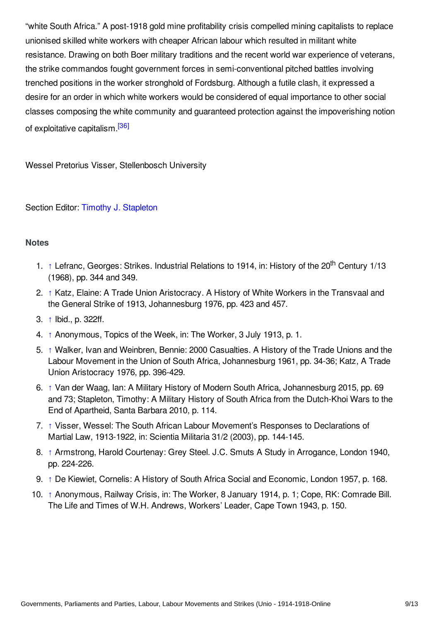"white South Africa." A post-1918 gold mine profitability crisis compelled mining capitalists to replace unionised skilled white workers with cheaper African labour which resulted in militant white resistance. Drawing on both Boer military traditions and the recent world war experience of veterans, the strike commandos fought government forces in semi-conventional pitched battles involving trenched positions in the worker stronghold of Fordsburg. Although a futile clash, it expressed a desire for an order in which white workers would be considered of equal importance to other social classes composing the white community and guaranteed protection against the impoverishing notion of exploitative capitalism.<sup>[\[36\]](#page-10-15)</sup>

<span id="page-8-11"></span>Wessel Pretorius Visser, Stellenbosch University

## Section Editor: Timothy J. [Stapleton](http://encyclopedia.1914-1918-online.net/contributors/Timothy_J._Stapleton)

## <span id="page-8-0"></span>**Notes**

- <span id="page-8-1"></span>1. [↑](#page-1-2) Lefranc, Georges: Strikes. Industrial Relations to 1914, in: History of the 20<sup>th</sup> Century 1/13 (1968), pp. 344 and 349.
- <span id="page-8-2"></span>2. [↑](#page-1-3) Katz, Elaine: A Trade Union Aristocracy. A History of White Workers in the Transvaal and the General Strike of 1913, Johannesburg 1976, pp. 423 and 457.
- <span id="page-8-3"></span>3. [↑](#page-2-0) Ibid., p. 322ff.
- <span id="page-8-4"></span>4. [↑](#page-2-1) Anonymous, Topics of the Week, in: The Worker, 3 July 1913, p. 1.
- <span id="page-8-5"></span>5. [↑](#page-2-2) Walker, Ivan and Weinbren, Bennie: 2000 Casualties. A History of the Trade Unions and the Labour Movement in the Union of South Africa, Johannesburg 1961, pp. 34-36; Katz, A Trade Union Aristocracy 1976, pp. 396-429.
- <span id="page-8-6"></span>6. [↑](#page-2-3) Van der Waag, Ian: A Military History of Modern South Africa, Johannesburg 2015, pp. 69 and 73; Stapleton, Timothy: A Military History of South Africa from the Dutch-Khoi Wars to the End of Apartheid, Santa Barbara 2010, p. 114.
- <span id="page-8-7"></span>7. [↑](#page-2-4) Visser, Wessel: The South African Labour Movement's Responses to Declarations of Martial Law, 1913-1922, in: Scientia Militaria 31/2 (2003), pp. 144-145.
- <span id="page-8-8"></span>8. [↑](#page-2-5) Armstrong, Harold Courtenay: Grey Steel. J.C. Smuts A Study in Arrogance, London 1940, pp. 224-226.
- <span id="page-8-9"></span>9. [↑](#page-2-6) De Kiewiet, Cornelis: A History of South Africa Social and Economic, London 1957, p. 168.
- <span id="page-8-10"></span>10. [↑](#page-3-2) Anonymous, Railway Crisis, in: The Worker, 8 January 1914, p. 1; Cope, RK: Comrade Bill. The Life and Times of W.H. Andrews, Workers' Leader, Cape Town 1943, p. 150.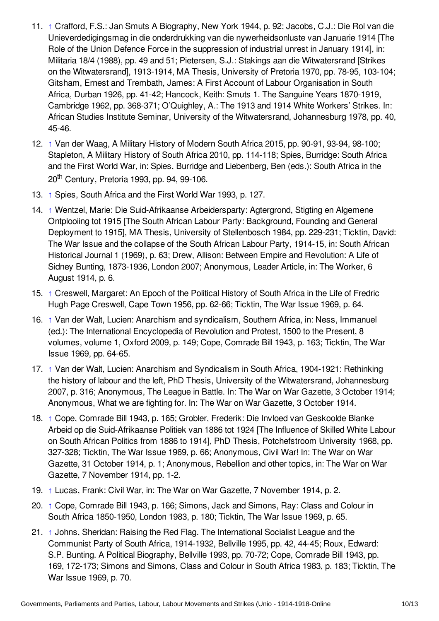- <span id="page-9-0"></span>11. [↑](#page-3-3) Crafford, F.S.: Jan Smuts A Biography, New York 1944, p. 92; Jacobs, C.J.: Die Rol van die Unieverdedigingsmag in die onderdrukking van die nywerheidsonluste van Januarie 1914 [The Role of the Union Defence Force in the suppression of industrial unrest in January 1914], in: Militaria 18/4 (1988), pp. 49 and 51; Pietersen, S.J.: Stakings aan die Witwatersrand [Strikes on the Witwatersrand], 1913-1914, MA Thesis, University of Pretoria 1970, pp. 78-95, 103-104; Gitsham, Ernest and Trembath, James: A First Account of Labour Organisation in South Africa, Durban 1926, pp. 41-42; Hancock, Keith: Smuts 1. The Sanguine Years 1870-1919, Cambridge 1962, pp. 368-371; O'Quighley, A.: The 1913 and 1914 White Workers' Strikes. In: African Studies Institute Seminar, University of the Witwatersrand, Johannesburg 1978, pp. 40, 45-46.
- <span id="page-9-1"></span>12. [↑](#page-4-1) Van der Waag, A Military History of Modern South Africa 2015, pp. 90-91, 93-94, 98-100; Stapleton, A Military History of South Africa 2010, pp. 114-118; Spies, Burridge: South Africa and the First World War, in: Spies, Burridge and Liebenberg, Ben (eds.): South Africa in the 20<sup>th</sup> Century, Pretoria 1993, pp. 94, 99-106.
- <span id="page-9-2"></span>13. [↑](#page-4-2) Spies, South Africa and the First World War 1993, p. 127.
- <span id="page-9-3"></span>14. [↑](#page-4-3) Wentzel, Marie: Die Suid-Afrikaanse Arbeidersparty: Agtergrond, Stigting en Algemene Ontplooiing tot 1915 [The South African Labour Party: Background, Founding and General Deployment to 1915], MA Thesis, University of Stellenbosch 1984, pp. 229-231; Ticktin, David: The War Issue and the collapse of the South African Labour Party, 1914-15, in: South African Historical Journal 1 (1969), p. 63; Drew, Allison: Between Empire and Revolution: A Life of Sidney Bunting, 1873-1936, London 2007; Anonymous, Leader Article, in: The Worker, 6 August 1914, p. 6.
- <span id="page-9-4"></span>15. [↑](#page-4-4) Creswell, Margaret: An Epoch of the Political History of South Africa in the Life of Fredric Hugh Page Creswell, Cape Town 1956, pp. 62-66; Ticktin, The War Issue 1969, p. 64.
- <span id="page-9-5"></span>16. [↑](#page-4-5) Van der Walt, Lucien: Anarchism and syndicalism, Southern Africa, in: Ness, Immanuel (ed.): The International Encyclopedia of Revolution and Protest, 1500 to the Present, 8 volumes, volume 1, Oxford 2009, p. 149; Cope, Comrade Bill 1943, p. 163; Ticktin, The War Issue 1969, pp. 64-65.
- <span id="page-9-6"></span>17. [↑](#page-4-6) Van der Walt, Lucien: Anarchism and Syndicalism in South Africa, 1904-1921: Rethinking the history of labour and the left, PhD Thesis, University of the Witwatersrand, Johannesburg 2007, p. 316; Anonymous, The League in Battle. In: The War on War Gazette, 3 October 1914; Anonymous, What we are fighting for. In: The War on War Gazette, 3 October 1914.
- <span id="page-9-7"></span>18. [↑](#page-5-0) Cope, Comrade Bill 1943, p. 165; Grobler, Frederik: Die Invloed van Geskoolde Blanke Arbeid op die Suid-Afrikaanse Politiek van 1886 tot 1924 [The Influence of Skilled White Labour on South African Politics from 1886 to 1914], PhD Thesis, Potchefstroom University 1968, pp. 327-328; Ticktin, The War Issue 1969, p. 66; Anonymous, Civil War! In: The War on War Gazette, 31 October 1914, p. 1; Anonymous, Rebellion and other topics, in: The War on War Gazette, 7 November 1914, pp. 1-2.
- <span id="page-9-8"></span>19. [↑](#page-5-1) Lucas, Frank: Civil War, in: The War on War Gazette, 7 November 1914, p. 2.
- <span id="page-9-9"></span>20. [↑](#page-5-2) Cope, Comrade Bill 1943, p. 166; Simons, Jack and Simons, Ray: Class and Colour in South Africa 1850-1950, London 1983, p. 180; Ticktin, The War Issue 1969, p. 65.
- <span id="page-9-10"></span>21. [↑](#page-5-3) Johns, Sheridan: Raising the Red Flag. The International Socialist League and the Communist Party of South Africa, 1914-1932, Bellville 1995, pp. 42, 44-45; Roux, Edward: S.P. Bunting. A Political Biography, Bellville 1993, pp. 70-72; Cope, Comrade Bill 1943, pp. 169, 172-173; Simons and Simons, Class and Colour in South Africa 1983, p. 183; Ticktin, The War Issue 1969, p. 70.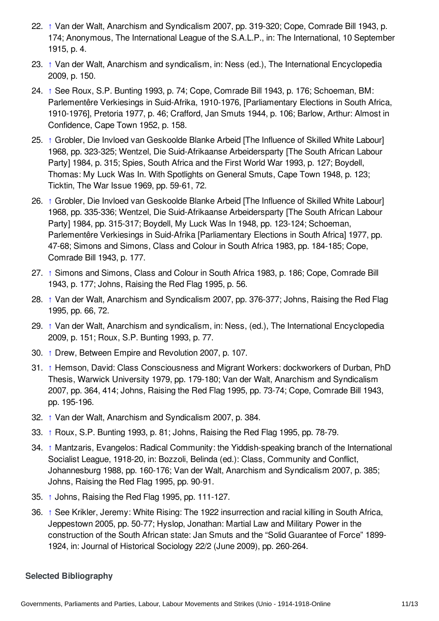- <span id="page-10-1"></span>22. [↑](#page-5-4) Van der Walt, Anarchism and Syndicalism 2007, pp. 319-320; Cope, Comrade Bill 1943, p. 174; Anonymous, The International League of the S.A.L.P., in: The International, 10 September 1915, p. 4.
- <span id="page-10-2"></span>23. [↑](#page-6-2) Van der Walt, Anarchism and syndicalism, in: Ness (ed.), The International Encyclopedia 2009, p. 150.
- <span id="page-10-3"></span>24. [↑](#page-6-3) See Roux, S.P. Bunting 1993, p. 74; Cope, Comrade Bill 1943, p. 176; Schoeman, BM: Parlementêre Verkiesings in Suid-Afrika, 1910-1976, [Parliamentary Elections in South Africa, 1910-1976], Pretoria 1977, p. 46; Crafford, Jan Smuts 1944, p. 106; Barlow, Arthur: Almost in Confidence, Cape Town 1952, p. 158.
- <span id="page-10-4"></span>25. [↑](#page-6-4) Grobler, Die Invloed van Geskoolde Blanke Arbeid [The Influence of Skilled White Labour] 1968, pp. 323-325; Wentzel, Die Suid-Afrikaanse Arbeidersparty [The South African Labour Party] 1984, p. 315; Spies, South Africa and the First World War 1993, p. 127; Boydell, Thomas: My Luck Was In. With Spotlights on General Smuts, Cape Town 1948, p. 123; Ticktin, The War Issue 1969, pp. 59-61, 72.
- <span id="page-10-5"></span>26. [↑](#page-6-5) Grobler, Die Invloed van Geskoolde Blanke Arbeid [The Influence of Skilled White Labour] 1968, pp. 335-336; Wentzel, Die Suid-Afrikaanse Arbeidersparty [The South African Labour Party] 1984, pp. 315-317; Boydell, My Luck Was In 1948, pp. 123-124; Schoeman, Parlementêre Verkiesings in Suid-Afrika [Parliamentary Elections in South Africa] 1977, pp. 47-68; Simons and Simons, Class and Colour in South Africa 1983, pp. 184-185; Cope, Comrade Bill 1943, p. 177.
- <span id="page-10-6"></span>27. [↑](#page-6-6) Simons and Simons, Class and Colour in South Africa 1983, p. 186; Cope, Comrade Bill 1943, p. 177; Johns, Raising the Red Flag 1995, p. 56.
- <span id="page-10-7"></span>28. [↑](#page-6-7) Van der Walt, Anarchism and Syndicalism 2007, pp. 376-377; Johns, Raising the Red Flag 1995, pp. 66, 72.
- <span id="page-10-8"></span>29. [↑](#page-7-1) Van der Walt, Anarchism and syndicalism, in: Ness, (ed.), The International Encyclopedia 2009, p. 151; Roux, S.P. Bunting 1993, p. 77.
- <span id="page-10-9"></span>30. [↑](#page-7-2) Drew, Between Empire and Revolution 2007, p. 107.
- <span id="page-10-10"></span>31. [↑](#page-7-3) Hemson, David: Class Consciousness and Migrant Workers: dockworkers of Durban, PhD Thesis, Warwick University 1979, pp. 179-180; Van der Walt, Anarchism and Syndicalism 2007, pp. 364, 414; Johns, Raising the Red Flag 1995, pp. 73-74; Cope, Comrade Bill 1943, pp. 195-196.
- <span id="page-10-11"></span>32. [↑](#page-7-4) Van der Walt, Anarchism and Syndicalism 2007, p. 384.
- <span id="page-10-12"></span>33. [↑](#page-7-5) Roux, S.P. Bunting 1993, p. 81; Johns, Raising the Red Flag 1995, pp. 78-79.
- <span id="page-10-13"></span>34. [↑](#page-7-6) Mantzaris, Evangelos: Radical Community: the Yiddish-speaking branch of the International Socialist League, 1918-20, in: Bozzoli, Belinda (ed.): Class, Community and Conflict, Johannesburg 1988, pp. 160-176; Van der Walt, Anarchism and Syndicalism 2007, p. 385; Johns, Raising the Red Flag 1995, pp. 90-91.
- <span id="page-10-14"></span>35. [↑](#page-7-7) Johns, Raising the Red Flag 1995, pp. 111-127.
- <span id="page-10-15"></span>36. [↑](#page-8-11) See Krikler, Jeremy: White Rising: The 1922 insurrection and racial killing in South Africa, Jeppestown 2005, pp. 50-77; Hyslop, Jonathan: Martial Law and Military Power in the construction of the South African state: Jan Smuts and the "Solid Guarantee of Force" 1899- 1924, in: Journal of Historical Sociology 22/2 (June 2009), pp. 260-264.

#### <span id="page-10-0"></span>**Selected Bibliography**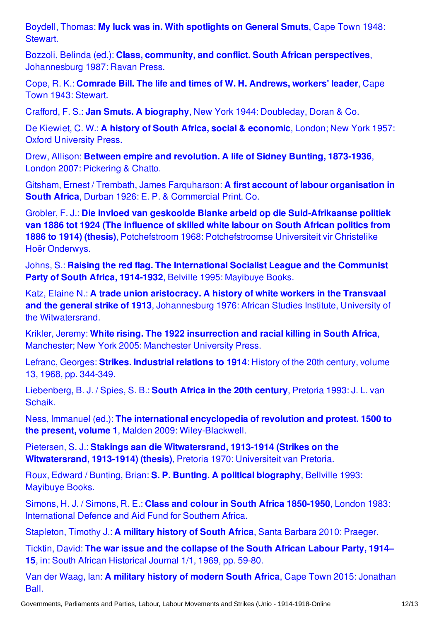Boydell, Thomas: **My luck was in. With [spotlights](http://encyclopedia.1914-1918-online.net/bibliography/WQ6CJCTV) on General Smuts**, Cape Town 1948: Stewart.

Bozzoli, Belinda (ed.): **Class, community, and conflict. South African perspectives**, [Johannesburg](http://encyclopedia.1914-1918-online.net/bibliography/J92K6ZAU) 1987: Ravan Press.

Cope, R. K.: **Comrade Bill. The life and times of W. H. [Andrews,](http://encyclopedia.1914-1918-online.net/bibliography/5F4VGTBP) workers' leader**, Cape Town 1943: Stewart.

Crafford, F. S.: **Jan Smuts. A biography**, New York 1944: [Doubleday,](http://encyclopedia.1914-1918-online.net/bibliography/UTX3WC73) Doran & Co.

De Kiewiet, C. W.: **A history of South Africa, social & [economic](http://encyclopedia.1914-1918-online.net/bibliography/M27ZMSAT)**, London; New York 1957: Oxford University Press.

Drew, Allison: **Between empire and [revolution.](http://encyclopedia.1914-1918-online.net/bibliography/VND7TPT8) A life of Sidney Bunting, 1873-1936**, London 2007: Pickering & Chatto.

Gitsham, Ernest / Trembath, James Farquharson: **A first account of labour [organisation](http://encyclopedia.1914-1918-online.net/bibliography/HFHDBCAU) in South Africa**, Durban 1926: E. P. & Commercial Print. Co.

Grobler, F. J.: **Die invloed van geskoolde Blanke arbeid op die [Suid-Afrikaanse](http://encyclopedia.1914-1918-online.net/bibliography/RX34VCF8) politiek van 1886 tot 1924 (The influence of skilled white labour on South African politics from 1886 to 1914) (thesis)**, Potchefstroom 1968: Potchefstroomse Universiteit vir Christelike Hoër Onderwys.

Johns, S.: **Raising the red flag. The [International](http://encyclopedia.1914-1918-online.net/bibliography/MVXIFCEZ) Socialist League and the Communist Party of South Africa, 1914-1932**, Belville 1995: Mayibuye Books.

Katz, Elaine N.: **A trade union aristocracy. A history of white workers in the Transvaal and the general strike of 1913**, Johannesburg 1976: African Studies Institute, University of the [Witwatersrand.](http://encyclopedia.1914-1918-online.net/bibliography/BME2VWQ3)

Krikler, Jeremy: **White rising. The 1922 [insurrection](http://encyclopedia.1914-1918-online.net/bibliography/JW67BDI5) and racial killing in South Africa**, Manchester; New York 2005: Manchester University Press.

Lefranc, Georges: **Strikes. [Industrial](http://encyclopedia.1914-1918-online.net/bibliography/K5STKGNI) relations to 1914**: History of the 20th century, volume 13, 1968, pp. 344-349.

[Liebenberg,](http://encyclopedia.1914-1918-online.net/bibliography/BBNJBU3S) B. J. / Spies, S. B.: **South Africa in the 20th century**, Pretoria 1993: J. L. van Schaik.

Ness, Immanuel (ed.): **The international encyclopedia of revolution and protest. 1500 to the present, volume 1**, Malden 2009: [Wiley-Blackwell.](http://encyclopedia.1914-1918-online.net/bibliography/VXU6NAMD)

Pietersen, S. J.: **Stakings aan die [Witwatersrand,](http://encyclopedia.1914-1918-online.net/bibliography/M5Z68EDD) 1913-1914 (Strikes on the Witwatersrand, 1913-1914) (thesis)**, Pretoria 1970: Universiteit van Pretoria.

Roux, Edward / Bunting, Brian: **S. P. Bunting. A political [biography](http://encyclopedia.1914-1918-online.net/bibliography/H3MD66KI)**, Bellville 1993: Mayibuye Books.

Simons, H. J. / Simons, R. E.: **Class and colour in South Africa 1850-1950**, London 1983: [International](http://encyclopedia.1914-1918-online.net/bibliography/IJZZMXNA) Defence and Aid Fund for Southern Africa.

[Stapleton,](http://encyclopedia.1914-1918-online.net/bibliography/TKQJHTT3) Timothy J.: **A military history of South Africa**, Santa Barbara 2010: Praeger.

Ticktin, David: **The war issue and the collapse of the South African Labour Party, 1914– 15**, in: South African [Historical](http://encyclopedia.1914-1918-online.net/bibliography/JPFZXMIA) Journal 1/1, 1969, pp. 59-80.

Van der Waag, Ian: **A military history of modern South Africa**, Cape Town 2015: [Jonathan](http://encyclopedia.1914-1918-online.net/bibliography/4JCI5887) Ball.